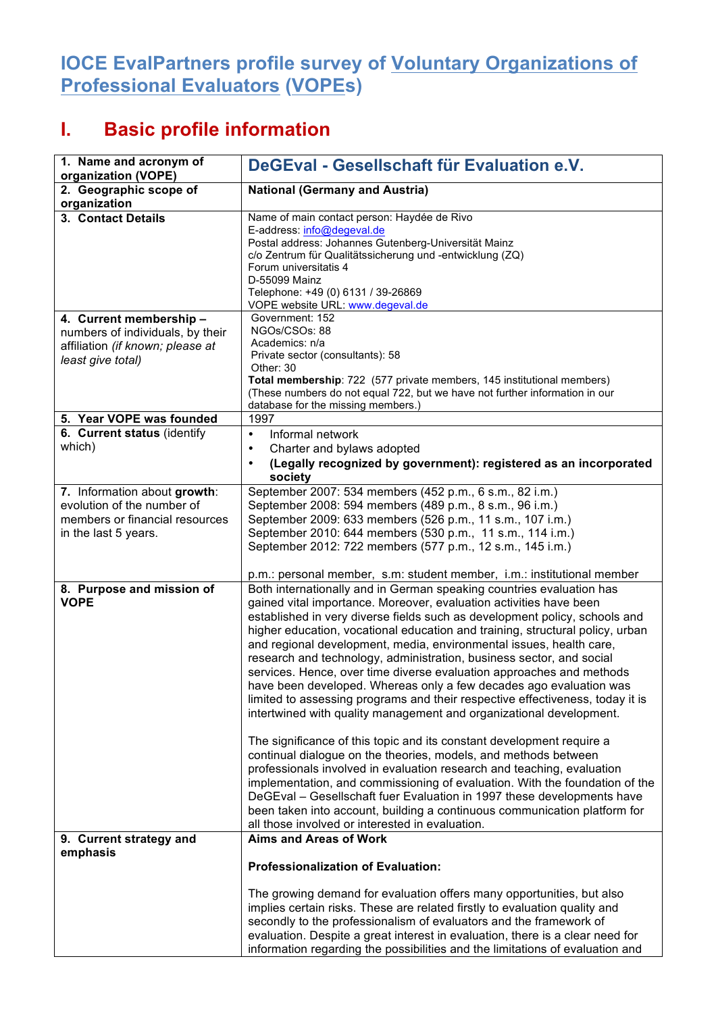## **IOCE EvalPartners profile survey of Voluntary Organizations of Professional Evaluators (VOPEs)**

## **I. Basic profile information**

| 1. Name and acronym of<br>organization (VOPE)                                                                        | DeGEval - Gesellschaft für Evaluation e.V.                                                                                                                                                                                                                                                                                                                                                                                                                                                                                                                                                                                                                                                                                                                                                                                                                                                                                                                                                                                                                                                                                                                                                                                                                                    |
|----------------------------------------------------------------------------------------------------------------------|-------------------------------------------------------------------------------------------------------------------------------------------------------------------------------------------------------------------------------------------------------------------------------------------------------------------------------------------------------------------------------------------------------------------------------------------------------------------------------------------------------------------------------------------------------------------------------------------------------------------------------------------------------------------------------------------------------------------------------------------------------------------------------------------------------------------------------------------------------------------------------------------------------------------------------------------------------------------------------------------------------------------------------------------------------------------------------------------------------------------------------------------------------------------------------------------------------------------------------------------------------------------------------|
| 2. Geographic scope of<br>organization                                                                               | <b>National (Germany and Austria)</b>                                                                                                                                                                                                                                                                                                                                                                                                                                                                                                                                                                                                                                                                                                                                                                                                                                                                                                                                                                                                                                                                                                                                                                                                                                         |
| 3. Contact Details                                                                                                   | Name of main contact person: Haydée de Rivo<br>E-address: info@degeval.de<br>Postal address: Johannes Gutenberg-Universität Mainz<br>c/o Zentrum für Qualitätssicherung und -entwicklung (ZQ)<br>Forum universitatis 4<br>D-55099 Mainz<br>Telephone: +49 (0) 6131 / 39-26869<br>VOPE website URL: www.degeval.de                                                                                                                                                                                                                                                                                                                                                                                                                                                                                                                                                                                                                                                                                                                                                                                                                                                                                                                                                             |
| 4. Current membership -<br>numbers of individuals, by their<br>affiliation (if known; please at<br>least give total) | Government: 152<br>NGOs/CSOs: 88<br>Academics: n/a<br>Private sector (consultants): 58<br>Other: 30<br>Total membership: 722 (577 private members, 145 institutional members)<br>(These numbers do not equal 722, but we have not further information in our<br>database for the missing members.)                                                                                                                                                                                                                                                                                                                                                                                                                                                                                                                                                                                                                                                                                                                                                                                                                                                                                                                                                                            |
| 5. Year VOPE was founded                                                                                             | 1997                                                                                                                                                                                                                                                                                                                                                                                                                                                                                                                                                                                                                                                                                                                                                                                                                                                                                                                                                                                                                                                                                                                                                                                                                                                                          |
| 6. Current status (identify<br>which)                                                                                | Informal network<br>$\bullet$<br>Charter and bylaws adopted<br>(Legally recognized by government): registered as an incorporated<br>society                                                                                                                                                                                                                                                                                                                                                                                                                                                                                                                                                                                                                                                                                                                                                                                                                                                                                                                                                                                                                                                                                                                                   |
| 7. Information about growth:<br>evolution of the number of<br>members or financial resources<br>in the last 5 years. | September 2007: 534 members (452 p.m., 6 s.m., 82 i.m.)<br>September 2008: 594 members (489 p.m., 8 s.m., 96 i.m.)<br>September 2009: 633 members (526 p.m., 11 s.m., 107 i.m.)<br>September 2010: 644 members (530 p.m., 11 s.m., 114 i.m.)<br>September 2012: 722 members (577 p.m., 12 s.m., 145 i.m.)<br>p.m.: personal member, s.m: student member, i.m.: institutional member                                                                                                                                                                                                                                                                                                                                                                                                                                                                                                                                                                                                                                                                                                                                                                                                                                                                                           |
| 8. Purpose and mission of<br><b>VOPE</b>                                                                             | Both internationally and in German speaking countries evaluation has<br>gained vital importance. Moreover, evaluation activities have been<br>established in very diverse fields such as development policy, schools and<br>higher education, vocational education and training, structural policy, urban<br>and regional development, media, environmental issues, health care,<br>research and technology, administration, business sector, and social<br>services. Hence, over time diverse evaluation approaches and methods<br>have been developed. Whereas only a few decades ago evaluation was<br>limited to assessing programs and their respective effectiveness, today it is<br>intertwined with quality management and organizational development.<br>The significance of this topic and its constant development require a<br>continual dialogue on the theories, models, and methods between<br>professionals involved in evaluation research and teaching, evaluation<br>implementation, and commissioning of evaluation. With the foundation of the<br>DeGEval - Gesellschaft fuer Evaluation in 1997 these developments have<br>been taken into account, building a continuous communication platform for<br>all those involved or interested in evaluation. |
| 9. Current strategy and<br>emphasis                                                                                  | <b>Aims and Areas of Work</b><br><b>Professionalization of Evaluation:</b><br>The growing demand for evaluation offers many opportunities, but also<br>implies certain risks. These are related firstly to evaluation quality and<br>secondly to the professionalism of evaluators and the framework of<br>evaluation. Despite a great interest in evaluation, there is a clear need for<br>information regarding the possibilities and the limitations of evaluation and                                                                                                                                                                                                                                                                                                                                                                                                                                                                                                                                                                                                                                                                                                                                                                                                     |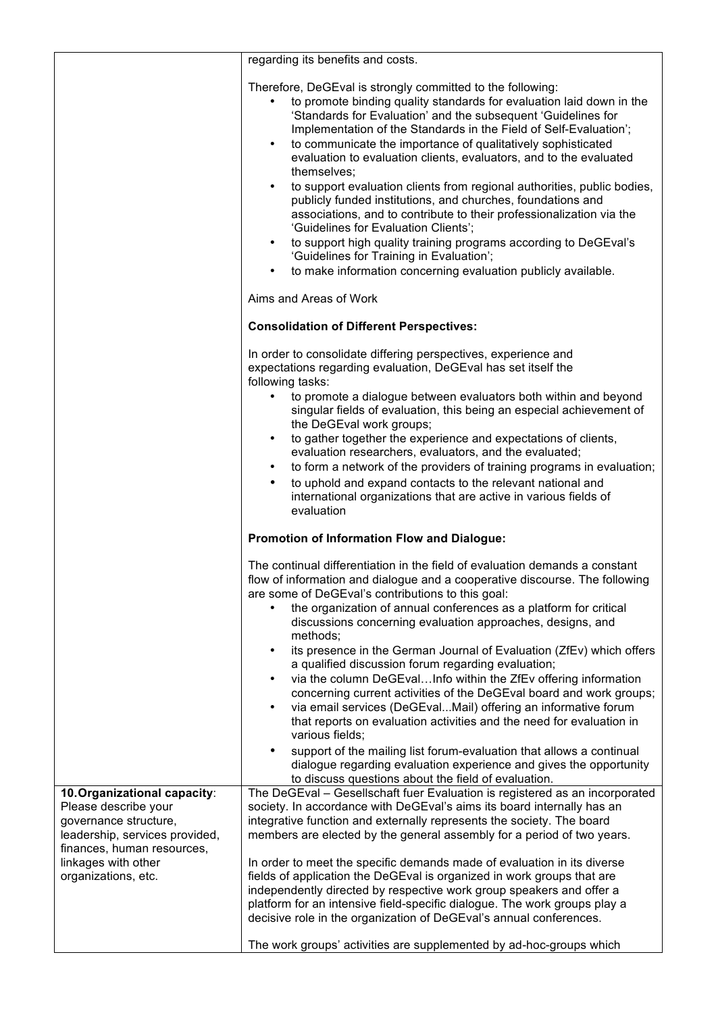|                                                                                                               | regarding its benefits and costs.                                                                                                                                                                                                                                                                                                                                                                                                                                                                                                                                                                                                                                                                                                                                                                                                                                                                  |
|---------------------------------------------------------------------------------------------------------------|----------------------------------------------------------------------------------------------------------------------------------------------------------------------------------------------------------------------------------------------------------------------------------------------------------------------------------------------------------------------------------------------------------------------------------------------------------------------------------------------------------------------------------------------------------------------------------------------------------------------------------------------------------------------------------------------------------------------------------------------------------------------------------------------------------------------------------------------------------------------------------------------------|
|                                                                                                               | Therefore, DeGEval is strongly committed to the following:<br>to promote binding quality standards for evaluation laid down in the<br>'Standards for Evaluation' and the subsequent 'Guidelines for<br>Implementation of the Standards in the Field of Self-Evaluation';<br>to communicate the importance of qualitatively sophisticated<br>$\bullet$<br>evaluation to evaluation clients, evaluators, and to the evaluated<br>themselves:<br>to support evaluation clients from regional authorities, public bodies,<br>publicly funded institutions, and churches, foundations and<br>associations, and to contribute to their professionalization via the<br>'Guidelines for Evaluation Clients';<br>to support high quality training programs according to DeGEval's<br>'Guidelines for Training in Evaluation';<br>to make information concerning evaluation publicly available.<br>$\bullet$ |
|                                                                                                               | Aims and Areas of Work                                                                                                                                                                                                                                                                                                                                                                                                                                                                                                                                                                                                                                                                                                                                                                                                                                                                             |
|                                                                                                               | <b>Consolidation of Different Perspectives:</b>                                                                                                                                                                                                                                                                                                                                                                                                                                                                                                                                                                                                                                                                                                                                                                                                                                                    |
|                                                                                                               | In order to consolidate differing perspectives, experience and<br>expectations regarding evaluation, DeGEval has set itself the<br>following tasks:                                                                                                                                                                                                                                                                                                                                                                                                                                                                                                                                                                                                                                                                                                                                                |
|                                                                                                               | to promote a dialogue between evaluators both within and beyond<br>singular fields of evaluation, this being an especial achievement of<br>the DeGEval work groups;                                                                                                                                                                                                                                                                                                                                                                                                                                                                                                                                                                                                                                                                                                                                |
|                                                                                                               | to gather together the experience and expectations of clients,<br>evaluation researchers, evaluators, and the evaluated;<br>to form a network of the providers of training programs in evaluation;<br>to uphold and expand contacts to the relevant national and<br>$\bullet$<br>international organizations that are active in various fields of<br>evaluation                                                                                                                                                                                                                                                                                                                                                                                                                                                                                                                                    |
|                                                                                                               | <b>Promotion of Information Flow and Dialogue:</b>                                                                                                                                                                                                                                                                                                                                                                                                                                                                                                                                                                                                                                                                                                                                                                                                                                                 |
|                                                                                                               | The continual differentiation in the field of evaluation demands a constant<br>flow of information and dialogue and a cooperative discourse. The following<br>are some of DeGEval's contributions to this goal:<br>the organization of annual conferences as a platform for critical                                                                                                                                                                                                                                                                                                                                                                                                                                                                                                                                                                                                               |
|                                                                                                               | discussions concerning evaluation approaches, designs, and<br>methods;<br>its presence in the German Journal of Evaluation (ZfEv) which offers                                                                                                                                                                                                                                                                                                                                                                                                                                                                                                                                                                                                                                                                                                                                                     |
|                                                                                                               | a qualified discussion forum regarding evaluation;<br>via the column DeGEvalInfo within the ZfEv offering information<br>concerning current activities of the DeGEval board and work groups;<br>via email services (DeGEvalMail) offering an informative forum<br>that reports on evaluation activities and the need for evaluation in<br>various fields;<br>support of the mailing list forum-evaluation that allows a continual<br>dialogue regarding evaluation experience and gives the opportunity                                                                                                                                                                                                                                                                                                                                                                                            |
| 10. Organizational capacity:                                                                                  | to discuss questions about the field of evaluation.<br>The DeGEval - Gesellschaft fuer Evaluation is registered as an incorporated                                                                                                                                                                                                                                                                                                                                                                                                                                                                                                                                                                                                                                                                                                                                                                 |
| Please describe your<br>governance structure,<br>leadership, services provided,<br>finances, human resources, | society. In accordance with DeGEval's aims its board internally has an<br>integrative function and externally represents the society. The board<br>members are elected by the general assembly for a period of two years.                                                                                                                                                                                                                                                                                                                                                                                                                                                                                                                                                                                                                                                                          |
| linkages with other<br>organizations, etc.                                                                    | In order to meet the specific demands made of evaluation in its diverse<br>fields of application the DeGEval is organized in work groups that are<br>independently directed by respective work group speakers and offer a<br>platform for an intensive field-specific dialogue. The work groups play a<br>decisive role in the organization of DeGEval's annual conferences.                                                                                                                                                                                                                                                                                                                                                                                                                                                                                                                       |
|                                                                                                               | The work groups' activities are supplemented by ad-hoc-groups which                                                                                                                                                                                                                                                                                                                                                                                                                                                                                                                                                                                                                                                                                                                                                                                                                                |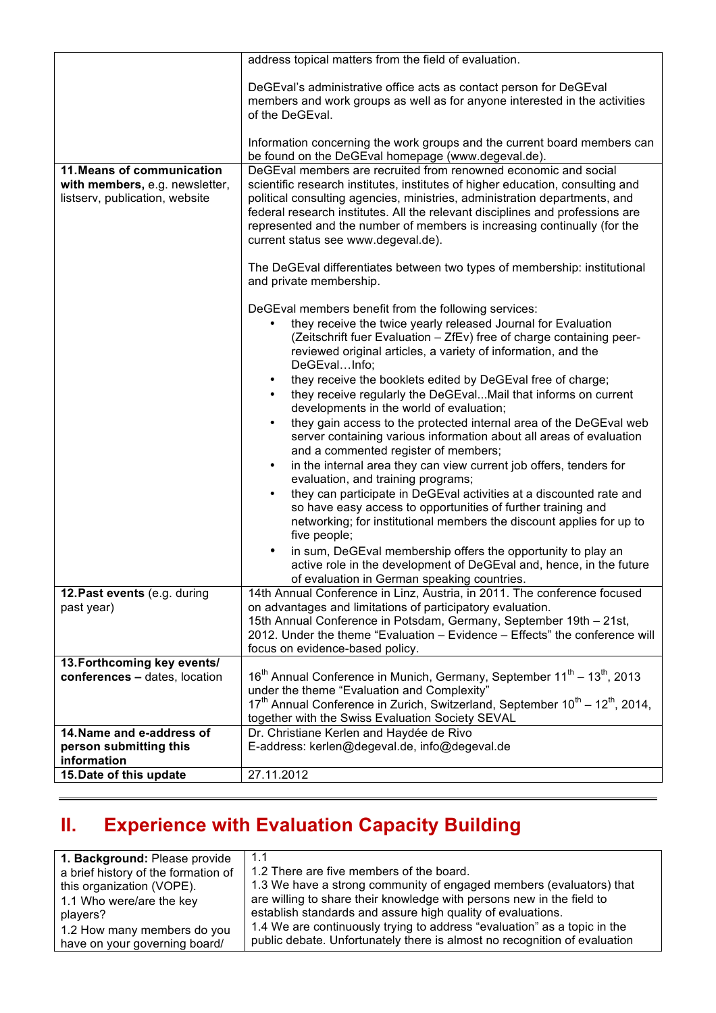|                                                                                                | address topical matters from the field of evaluation.                                                                                                                                                                                                                                                                                                                                                                                                                                                                                                                                                                                                                                                                                                                                                                                                                                                                                                                                                                                                                                                                                                                                                                                              |
|------------------------------------------------------------------------------------------------|----------------------------------------------------------------------------------------------------------------------------------------------------------------------------------------------------------------------------------------------------------------------------------------------------------------------------------------------------------------------------------------------------------------------------------------------------------------------------------------------------------------------------------------------------------------------------------------------------------------------------------------------------------------------------------------------------------------------------------------------------------------------------------------------------------------------------------------------------------------------------------------------------------------------------------------------------------------------------------------------------------------------------------------------------------------------------------------------------------------------------------------------------------------------------------------------------------------------------------------------------|
|                                                                                                | DeGEval's administrative office acts as contact person for DeGEval<br>members and work groups as well as for anyone interested in the activities<br>of the DeGEval.                                                                                                                                                                                                                                                                                                                                                                                                                                                                                                                                                                                                                                                                                                                                                                                                                                                                                                                                                                                                                                                                                |
|                                                                                                | Information concerning the work groups and the current board members can<br>be found on the DeGEval homepage (www.degeval.de).                                                                                                                                                                                                                                                                                                                                                                                                                                                                                                                                                                                                                                                                                                                                                                                                                                                                                                                                                                                                                                                                                                                     |
| 11. Means of communication<br>with members, e.g. newsletter,<br>listserv, publication, website | DeGEval members are recruited from renowned economic and social<br>scientific research institutes, institutes of higher education, consulting and<br>political consulting agencies, ministries, administration departments, and<br>federal research institutes. All the relevant disciplines and professions are<br>represented and the number of members is increasing continually (for the<br>current status see www.degeval.de).                                                                                                                                                                                                                                                                                                                                                                                                                                                                                                                                                                                                                                                                                                                                                                                                                |
|                                                                                                | The DeGEval differentiates between two types of membership: institutional<br>and private membership.                                                                                                                                                                                                                                                                                                                                                                                                                                                                                                                                                                                                                                                                                                                                                                                                                                                                                                                                                                                                                                                                                                                                               |
|                                                                                                | DeGEval members benefit from the following services:<br>they receive the twice yearly released Journal for Evaluation<br>(Zeitschrift fuer Evaluation - ZfEv) free of charge containing peer-<br>reviewed original articles, a variety of information, and the<br>DeGEvalInfo;<br>they receive the booklets edited by DeGEval free of charge;<br>$\bullet$<br>they receive regularly the DeGEvalMail that informs on current<br>developments in the world of evaluation;<br>they gain access to the protected internal area of the DeGEval web<br>$\bullet$<br>server containing various information about all areas of evaluation<br>and a commented register of members;<br>in the internal area they can view current job offers, tenders for<br>$\bullet$<br>evaluation, and training programs;<br>they can participate in DeGEval activities at a discounted rate and<br>$\bullet$<br>so have easy access to opportunities of further training and<br>networking; for institutional members the discount applies for up to<br>five people;<br>in sum, DeGEval membership offers the opportunity to play an<br>$\bullet$<br>active role in the development of DeGEval and, hence, in the future<br>of evaluation in German speaking countries. |
| <b>12.Past events</b> (e.g. during<br>past year)                                               | 14th Annual Conference in Linz, Austria, in 2011. The conference focused<br>on advantages and limitations of participatory evaluation.<br>15th Annual Conference in Potsdam, Germany, September 19th - 21st,<br>2012. Under the theme "Evaluation - Evidence - Effects" the conference will<br>focus on evidence-based policy.                                                                                                                                                                                                                                                                                                                                                                                                                                                                                                                                                                                                                                                                                                                                                                                                                                                                                                                     |
| 13. Forthcoming key events/                                                                    |                                                                                                                                                                                                                                                                                                                                                                                                                                                                                                                                                                                                                                                                                                                                                                                                                                                                                                                                                                                                                                                                                                                                                                                                                                                    |
| conferences - dates, location                                                                  | 16 <sup>th</sup> Annual Conference in Munich, Germany, September 11 <sup>th</sup> – 13 <sup>th</sup> , 2013<br>under the theme "Evaluation and Complexity"<br>17 <sup>th</sup> Annual Conference in Zurich, Switzerland, September 10 <sup>th</sup> – 12 <sup>th</sup> , 2014,<br>together with the Swiss Evaluation Society SEVAL                                                                                                                                                                                                                                                                                                                                                                                                                                                                                                                                                                                                                                                                                                                                                                                                                                                                                                                 |
| 14. Name and e-address of                                                                      | Dr. Christiane Kerlen and Haydée de Rivo                                                                                                                                                                                                                                                                                                                                                                                                                                                                                                                                                                                                                                                                                                                                                                                                                                                                                                                                                                                                                                                                                                                                                                                                           |
| person submitting this                                                                         | E-address: kerlen@degeval.de, info@degeval.de                                                                                                                                                                                                                                                                                                                                                                                                                                                                                                                                                                                                                                                                                                                                                                                                                                                                                                                                                                                                                                                                                                                                                                                                      |
| information                                                                                    |                                                                                                                                                                                                                                                                                                                                                                                                                                                                                                                                                                                                                                                                                                                                                                                                                                                                                                                                                                                                                                                                                                                                                                                                                                                    |
| 15. Date of this update                                                                        | 27.11.2012                                                                                                                                                                                                                                                                                                                                                                                                                                                                                                                                                                                                                                                                                                                                                                                                                                                                                                                                                                                                                                                                                                                                                                                                                                         |

## **II. Experience with Evaluation Capacity Building**

| 1. Background: Please provide<br>a brief history of the formation of<br>this organization (VOPE).<br>1.1 Who were/are the key<br>players?<br>1.2 How many members do you | 1.1<br>1.2 There are five members of the board.<br>1.3 We have a strong community of engaged members (evaluators) that<br>are willing to share their knowledge with persons new in the field to<br>establish standards and assure high quality of evaluations.<br>1.4 We are continuously trying to address "evaluation" as a topic in the |
|--------------------------------------------------------------------------------------------------------------------------------------------------------------------------|--------------------------------------------------------------------------------------------------------------------------------------------------------------------------------------------------------------------------------------------------------------------------------------------------------------------------------------------|
| have on your governing board/                                                                                                                                            | public debate. Unfortunately there is almost no recognition of evaluation                                                                                                                                                                                                                                                                  |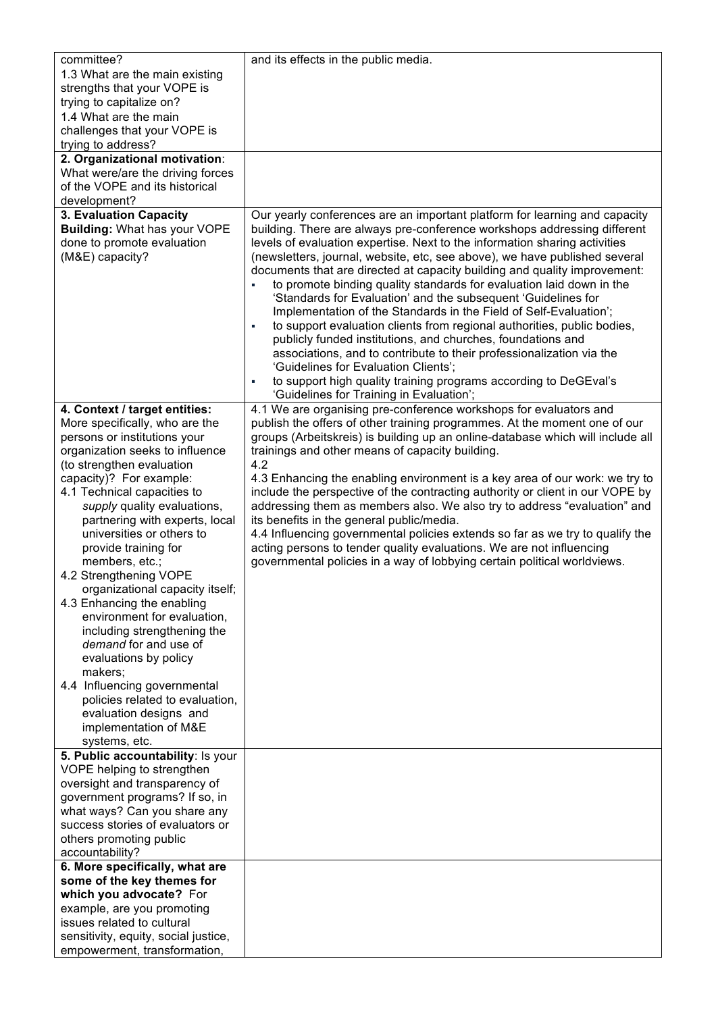| committee?<br>1.3 What are the main existing                 | and its effects in the public media.                                                                                                                    |
|--------------------------------------------------------------|---------------------------------------------------------------------------------------------------------------------------------------------------------|
| strengths that your VOPE is                                  |                                                                                                                                                         |
| trying to capitalize on?                                     |                                                                                                                                                         |
| 1.4 What are the main                                        |                                                                                                                                                         |
| challenges that your VOPE is                                 |                                                                                                                                                         |
| trying to address?<br>2. Organizational motivation:          |                                                                                                                                                         |
| What were/are the driving forces                             |                                                                                                                                                         |
| of the VOPE and its historical                               |                                                                                                                                                         |
| development?                                                 |                                                                                                                                                         |
| 3. Evaluation Capacity                                       | Our yearly conferences are an important platform for learning and capacity                                                                              |
| <b>Building: What has your VOPE</b>                          | building. There are always pre-conference workshops addressing different                                                                                |
| done to promote evaluation                                   | levels of evaluation expertise. Next to the information sharing activities                                                                              |
| (M&E) capacity?                                              | (newsletters, journal, website, etc, see above), we have published several<br>documents that are directed at capacity building and quality improvement: |
|                                                              | to promote binding quality standards for evaluation laid down in the                                                                                    |
|                                                              | 'Standards for Evaluation' and the subsequent 'Guidelines for                                                                                           |
|                                                              | Implementation of the Standards in the Field of Self-Evaluation';                                                                                       |
|                                                              | to support evaluation clients from regional authorities, public bodies,<br>٠                                                                            |
|                                                              | publicly funded institutions, and churches, foundations and                                                                                             |
|                                                              | associations, and to contribute to their professionalization via the<br>'Guidelines for Evaluation Clients';                                            |
|                                                              | to support high quality training programs according to DeGEval's<br>٠                                                                                   |
|                                                              | 'Guidelines for Training in Evaluation';                                                                                                                |
| 4. Context / target entities:                                | 4.1 We are organising pre-conference workshops for evaluators and                                                                                       |
| More specifically, who are the                               | publish the offers of other training programmes. At the moment one of our                                                                               |
| persons or institutions your                                 | groups (Arbeitskreis) is building up an online-database which will include all                                                                          |
| organization seeks to influence<br>(to strengthen evaluation | trainings and other means of capacity building.<br>4.2                                                                                                  |
| capacity)? For example:                                      | 4.3 Enhancing the enabling environment is a key area of our work: we try to                                                                             |
| 4.1 Technical capacities to                                  | include the perspective of the contracting authority or client in our VOPE by                                                                           |
| supply quality evaluations,                                  | addressing them as members also. We also try to address "evaluation" and                                                                                |
| partnering with experts, local                               | its benefits in the general public/media.                                                                                                               |
| universities or others to<br>provide training for            | 4.4 Influencing governmental policies extends so far as we try to qualify the<br>acting persons to tender quality evaluations. We are not influencing   |
| members, etc.;                                               | governmental policies in a way of lobbying certain political worldviews.                                                                                |
| 4.2 Strengthening VOPE                                       |                                                                                                                                                         |
| organizational capacity itself;                              |                                                                                                                                                         |
| 4.3 Enhancing the enabling                                   |                                                                                                                                                         |
| environment for evaluation,                                  |                                                                                                                                                         |
| including strengthening the<br>demand for and use of         |                                                                                                                                                         |
| evaluations by policy                                        |                                                                                                                                                         |
| makers;                                                      |                                                                                                                                                         |
| 4.4 Influencing governmental                                 |                                                                                                                                                         |
| policies related to evaluation,                              |                                                                                                                                                         |
| evaluation designs and                                       |                                                                                                                                                         |
| implementation of M&E                                        |                                                                                                                                                         |
| systems, etc.<br>5. Public accountability: Is your           |                                                                                                                                                         |
| VOPE helping to strengthen                                   |                                                                                                                                                         |
| oversight and transparency of                                |                                                                                                                                                         |
| government programs? If so, in                               |                                                                                                                                                         |
| what ways? Can you share any                                 |                                                                                                                                                         |
| success stories of evaluators or                             |                                                                                                                                                         |
| others promoting public                                      |                                                                                                                                                         |
| accountability?<br>6. More specifically, what are            |                                                                                                                                                         |
| some of the key themes for                                   |                                                                                                                                                         |
| which you advocate? For                                      |                                                                                                                                                         |
| example, are you promoting                                   |                                                                                                                                                         |
| issues related to cultural                                   |                                                                                                                                                         |
| sensitivity, equity, social justice,                         |                                                                                                                                                         |
| empowerment, transformation,                                 |                                                                                                                                                         |